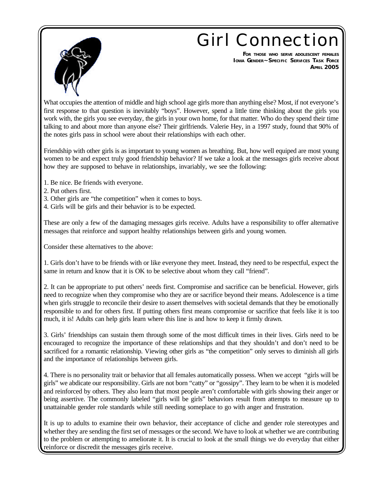## **Girl Connection**



**FOR THOSE WHO SERVE ADOLESCENT FEMALES IOWA GENDER~SPECIFIC SERVICES TASK FORCE APRIL 2005**

What occupies the attention of middle and high school age girls more than anything else? Most, if not everyone's first response to that question is inevitably "boys". However, spend a little time thinking about the girls you work with, the girls you see everyday, the girls in your own home, for that matter. Who do they spend their time talking to and about more than anyone else? Their girlfriends. Valerie Hey, in a 1997 study, found that 90% of the notes girls pass in school were about their relationships with each other.

Friendship with other girls is as important to young women as breathing. But, how well equiped are most young women to be and expect truly good friendship behavior? If we take a look at the messages girls receive about how they are supposed to behave in relationships, invariably, we see the following:

- 1. Be nice. Be friends with everyone.
- 2. Put others first.
- 3. Other girls are "the competition" when it comes to boys.
- 4. Girls will be girls and their behavior is to be expected.

These are only a few of the damaging messages girls receive. Adults have a responsibility to offer alternative messages that reinforce and support healthy relationships between girls and young women.

Consider these alternatives to the above:

1. Girls don't have to be friends with or like everyone they meet. Instead, they need to be respectful, expect the same in return and know that it is OK to be selective about whom they call "friend".

2. It can be appropriate to put others' needs first. Compromise and sacrifice can be beneficial. However, girls need to recognize when they compromise who they are or sacrifice beyond their means. Adolescence is a time when girls struggle to reconcile their desire to assert themselves with societal demands that they be emotionally responsible to and for others first. If putting others first means compromise or sacrifice that feels like it is too much, it is! Adults can help girls learn where this line is and how to keep it firmly drawn.

3. Girls' friendships can sustain them through some of the most difficult times in their lives. Girls need to be encouraged to recognize the importance of these relationships and that they shouldn't and don't need to be sacrificed for a romantic relationship. Viewing other girls as "the competition" only serves to diminish all girls and the importance of relationships between girls.

4. There is no personality trait or behavior that all females automatically possess. When we accept "girls will be girls" we abdicate our responsibility. Girls are not born "catty" or "gossipy". They learn to be when it is modeled and reinforced by others. They also learn that most people aren't comfortable with girls showing their anger or being assertive. The commonly labeled "girls will be girls" behaviors result from attempts to measure up to unattainable gender role standards while still needing someplace to go with anger and frustration.

It is up to adults to examine their own behavior, their acceptance of cliche and gender role stereotypes and whether they are sending the first set of messages or the second. We have to look at whether we are contributing to the problem or attempting to ameliorate it. It is crucial to look at the small things we do everyday that either reinforce or discredit the messages girls receive.